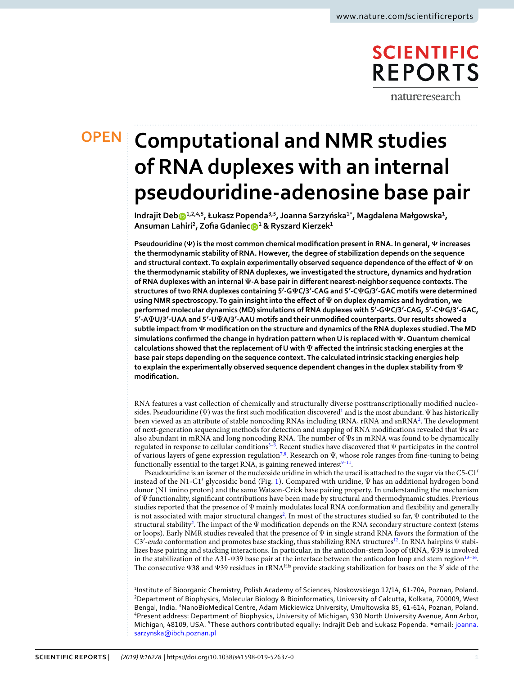# **SCIENTIFIC REPORTS**

natureresearch

# **Computational and NMR studies OPENof RNA duplexes with an internal pseudouridine-adenosine base pair**

**Indrajit Deb1,2,4,5, Łukasz Popenda3,5, Joanna Sarzyńska1\*, Magdalena Małgowska<sup>1</sup> , Ansuman Lahiri<sup>2</sup> , Zofia Gdanie[c](http://orcid.org/0000-0003-2955-1829) <sup>1</sup> & Ryszard Kierzek<sup>1</sup>**

**Pseudouridine (Ψ) is the most common chemical modification present in RNA. In general, Ψ increases the thermodynamic stability of RNA. However, the degree of stabilization depends on the sequence and structural context. To explain experimentally observed sequence dependence of the effect of Ψ on the thermodynamic stability of RNA duplexes, we investigated the structure, dynamics and hydration of RNA duplexes with an internal Ψ-A base pair in different nearest-neighbor sequence contexts. The structures of two RNA duplexes containing 5′-GΨC/3′-CAG and 5′-CΨG/3′-GAC motifs were determined using NMR spectroscopy. To gain insight into the effect of Ψ on duplex dynamics and hydration, we performed molecular dynamics (MD) simulations of RNA duplexes with 5′-GΨC/3′-CAG, 5′-CΨG/3′-GAC, 5′-AΨU/3′-UAA and 5′-UΨA/3′-AAU motifs and their unmodified counterparts. Our results showed a subtle impact from Ψ modification on the structure and dynamics of the RNA duplexes studied. The MD simulations confirmed the change in hydration pattern when U is replaced with Ψ. Quantum chemical calculations showed that the replacement of U with Ψ affected the intrinsic stacking energies at the base pair steps depending on the sequence context. The calculated intrinsic stacking energies help to explain the experimentally observed sequence dependent changes in the duplex stability from Ψ modification.**

RNA features a vast collection of chemically and structurally diverse posttranscriptionally modified nucleosides. Pseudouridine ( $\Psi$ ) was the first such modification discovered<sup>[1](#page-10-0)</sup> and is the most abundant.  $\Psi$  has historically been viewed as an attribute of stable noncoding RNAs including tRNA, rRNA and snRNA<sup>[2](#page-10-1)</sup>. The development of next-generation sequencing methods for detection and mapping of RNA modifications revealed that Ψs are also abundant in mRNA and long noncoding RNA. The number of Ψs in mRNA was found to be dynamically regulated in response to cellular conditions<sup>3-[6](#page-10-3)</sup>. Recent studies have discovered that  $\Psi$  participates in the control of various layers of gene expression regulation<sup>[7,](#page-10-4)[8](#page-10-5)</sup>. Research on  $\Psi$ , whose role ranges from fine-tuning to being functionally essential to the target RNA, is gaining renewed interest<sup>[9](#page-10-6)-11</sup>.

Pseudouridine is an isomer of the nucleoside uridine in which the uracil is attached to the sugar via the C5-C1′ instead of the N1-C1′ glycosidic bond (Fig. [1](#page-1-0)). Compared with uridine, Ψ has an additional hydrogen bond donor (N1 imino proton) and the same Watson-Crick base pairing property. In understanding the mechanism of Ψ functionality, significant contributions have been made by structural and thermodynamic studies. Previous studies reported that the presence of Ψ mainly modulates local RNA conformation and flexibility and generally is not associated with major structural changes<sup>[2](#page-10-1)</sup>. In most of the structures studied so far,  $\Psi$  contributed to the structural stability<sup>[2](#page-10-1)</sup>. The impact of the  $\Psi$  modification depends on the RNA secondary structure context (stems or loops). Early NMR studies revealed that the presence of  $\Psi$  in single strand RNA favors the formation of the C3'-endo conformation and promotes base stacking, thus stabilizing RNA structures<sup>[12](#page-10-8)</sup>. In RNA hairpins  $\Psi$  stabilizes base pairing and stacking interactions. In particular, in the anticodon-stem loop of tRNA, Ψ39 is involved in the stabilization of the A31- $\Psi$ 39 base pair at the interface between the anticodon loop and stem region $^{13-16}$  $^{13-16}$  $^{13-16}$ . The consecutive Ψ38 and Ψ39 residues in tRNAHis provide stacking stabilization for bases on the 3′ side of the

<sup>1</sup>Institute of Bioorganic Chemistry, Polish Academy of Sciences, Noskowskiego 12/14, 61-704, Poznan, Poland. <sup>2</sup>Department of Biophysics, Molecular Biology & Bioinformatics, University of Calcutta, Kolkata, 700009, West Bengal, India. <sup>3</sup>NanoBioMedical Centre, Adam Mickiewicz University, Umultowska 85, 61-614, Poznan, Poland. <sup>4</sup>Present address: Department of Biophysics, University of Michigan, 930 North University Avenue, Ann Arbor, Michigan, 48109, USA. <sup>5</sup>These authors contributed equally: Indrajit Deb and Łukasz Popenda. \*email: [joanna.](mailto:joanna.sarzynska@ibch.poznan.pl) [sarzynska@ibch.poznan.pl](mailto:joanna.sarzynska@ibch.poznan.pl)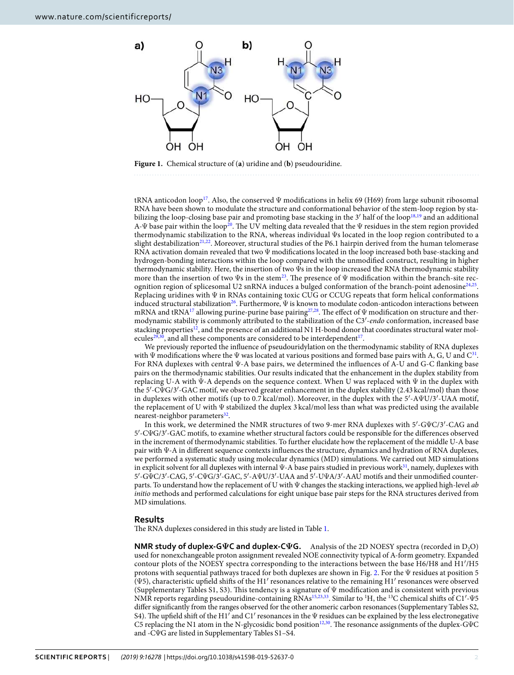



<span id="page-1-0"></span>**Figure 1.** Chemical structure of (**a**) uridine and (**b**) pseudouridine.

tRNA anticodon loop<sup>[17](#page-10-11)</sup>. Also, the conserved  $\Psi$  modifications in helix 69 (H69) from large subunit ribosomal RNA have been shown to modulate the structure and conformational behavior of the stem-loop region by sta-bilizing the loop-closing base pair and promoting base stacking in the 3' half of the loop<sup>[18,](#page-10-12)[19](#page-10-13)</sup> and an additional A-Ψ base pair within the loop[20](#page-10-14). The UV melting data revealed that the Ψ residues in the stem region provided thermodynamic stabilization to the RNA, whereas individual Ψs located in the loop region contributed to a slight destabilization<sup>[21](#page-10-15)[,22](#page-10-16)</sup>. Moreover, structural studies of the P6.1 hairpin derived from the human telomerase RNA activation domain revealed that two Ψ modifications located in the loop increased both base-stacking and hydrogen-bonding interactions within the loop compared with the unmodified construct, resulting in higher thermodynamic stability. Here, the insertion of two Ψs in the loop increased the RNA thermodynamic stability more than the insertion of two Ψs in the stem<sup>[23](#page-10-17)</sup>. The presence of Ψ modification within the branch-site rec-ognition region of splicesomal U2 snRNA induces a bulged conformation of the branch-point adenosine<sup>[24](#page-10-18),[25](#page-10-19)</sup>. Replacing uridines with Ψ in RNAs containing toxic CUG or CCUG repeats that form helical conformations induced structural stabilization[26](#page-10-20). Furthermore, Ψ is known to modulate codon-anticodon interactions between mRNA and tRNA<sup>[17](#page-10-11)</sup> allowing purine-purine base pairing<sup>[27](#page-10-21),[28](#page-10-22)</sup>. The effect of  $\Psi$  modification on structure and thermodynamic stability is commonly attributed to the stabilization of the C3'-endo conformation, increased base stacking properties<sup>[12](#page-10-8)</sup>, and the presence of an additional N1 H-bond donor that coordinates structural water mol-ecules<sup>[29](#page-10-23),[30](#page-10-24)</sup>, and all these components are considered to be interdependent<sup>[17](#page-10-11)</sup>.

We previously reported the influence of pseudouridylation on the thermodynamic stability of RNA duplexes with  $\Psi$  modifications where the  $\Psi$  was located at various positions and formed base pairs with A, G, U and  $C^{31}$  $C^{31}$  $C^{31}$ . For RNA duplexes with central Ψ-A base pairs, we determined the influences of A-U and G-C flanking base pairs on the thermodynamic stabilities. Our results indicated that the enhancement in the duplex stability from replacing U-A with Ψ-A depends on the sequence context. When U was replaced with Ψ in the duplex with the 5′-CΨG/3′-GAC motif, we observed greater enhancement in the duplex stability (2.43 kcal/mol) than those in duplexes with other motifs (up to 0.7 kcal/mol). Moreover, in the duplex with the 5′-AΨU/3′-UAA motif, the replacement of U with Ψ stabilized the duplex 3 kcal/mol less than what was predicted using the available nearest-neighbor parameters<sup>[32](#page-10-26)</sup>.

In this work, we determined the NMR structures of two 9-mer RNA duplexes with 5′-GΨC/3′-CAG and 5′-CΨG/3′-GAC motifs, to examine whether structural factors could be responsible for the differences observed in the increment of thermodynamic stabilities. To further elucidate how the replacement of the middle U-A base pair with Ψ-A in different sequence contexts influences the structure, dynamics and hydration of RNA duplexes, we performed a systematic study using molecular dynamics (MD) simulations. We carried out MD simulations in explicit solvent for all duplexes with internal Ψ-A base pairs studied in previous work<sup>[31](#page-10-25)</sup>, namely, duplexes with 5′-GΨC/3′-CAG, 5′-CΨG/3′-GAC, 5′-AΨU/3′-UAA and 5′-UΨA/3′-AAU motifs and their unmodified counterparts. To understand how the replacement of U with  $\Psi$  changes the stacking interactions, we applied high-level ab initio methods and performed calculations for eight unique base pair steps for the RNA structures derived from MD simulations.

#### **Results**

The RNA duplexes considered in this study are listed in Table [1](#page-2-0).

**NMR study of duplex-GΨC and duplex-CΨG.** Analysis of the 2D NOESY spectra (recorded in D<sub>2</sub>O) used for nonexchangeable proton assignment revealed NOE connectivity typical of A-form geometry. Expanded contour plots of the NOESY spectra corresponding to the interactions between the base H6/H8 and H1′/H5 protons with sequential pathways traced for both duplexes are shown in Fig. [2](#page-3-0). For the Ψ residues at position 5 (Ψ5), characteristic upfield shifts of the H1′ resonances relative to the remaining H1′ resonances were observed (Supplementary Tables S1, S3). This tendency is a signature of Ψ modification and is consistent with previous NMR reports regarding pseudouridine-containing RNAs[15](#page-10-27)[,23](#page-10-17)[,33](#page-10-28). Similar to <sup>1</sup>H, the <sup>13</sup>C chemical shifts of C1′-Ψ5 differ significantly from the ranges observed for the other anomeric carbon resonances (Supplementary Tables S2, S4). The upfield shift of the H1′ and C1′ resonances in the Ψ residues can be explained by the less electronegative C5 replacing the N1 atom in the N-glycosidic bond position[12,](#page-10-8)[30](#page-10-24). The resonance assignments of the duplex-GΨC and -CΨG are listed in Supplementary Tables S1–S4.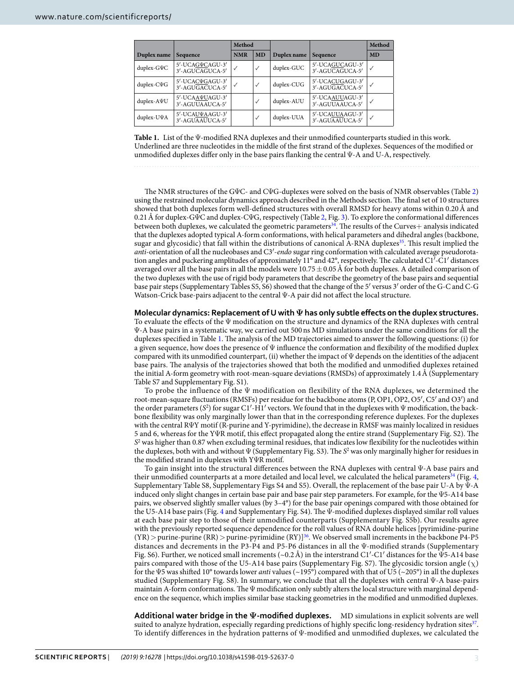<span id="page-2-0"></span>

|                   |                                           | Method     |              |             |                                    | Method       |
|-------------------|-------------------------------------------|------------|--------------|-------------|------------------------------------|--------------|
| Duplex name       | Sequence                                  | <b>NMR</b> | <b>MD</b>    | Duplex name | Sequence                           | <b>MD</b>    |
| duplex-G $\Psi C$ | 5'-UCAGVCAGU-3'<br>3'-AGUCAGUCA-5'        | √          | $\checkmark$ | duplex-GUC  | 5'-UCAGUCAGU-3'<br>3'-AGUCAGUCA-5' | $\checkmark$ |
| duplex-CVG        | 5'-UCACVGAGU-3'<br>3'-AGUGACUCA-5'        | √          | $\checkmark$ | duplex-CUG  | 5'-UCACUGAGU-3'<br>3'-AGUGACUCA-5' | $\checkmark$ |
| $duplex-A\Psi U$  | 5'-UCAA $\Psi$ UAGU-3'<br>3'-AGUUAAUCA-5' |            | $\checkmark$ | duplex-AUU  | 5'-UCAAUUAGU-3'<br>3'-AGUUAAUCA-5' | $\checkmark$ |
| duplex-UVA        | 5'-UCAUVAAGU-3'<br>3'-AGUAAUUCA-5'        |            | $\checkmark$ | duplex-UUA  | 5'-UCAUUAAGU-3'<br>3'-AGUAAUUCA-5' | $\checkmark$ |

**Table 1.** List of the Ψ-modified RNA duplexes and their unmodified counterparts studied in this work. Underlined are three nucleotides in the middle of the first strand of the duplexes. Sequences of the modified or unmodified duplexes differ only in the base pairs flanking the central Ψ-A and U-A, respectively.

The NMR structures of the GΨC- and CΨG-duplexes were solved on the basis of NMR observables (Table [2\)](#page-3-1) using the restrained molecular dynamics approach described in the Methods section. The final set of 10 structures showed that both duplexes form well-defined structures with overall RMSD for heavy atoms within 0.20 Å and 0.21 Å for duplex-GΨC and duplex-CΨG, respectively (Table [2](#page-3-1), Fig. [3\)](#page-4-0). To explore the conformational differences between both duplexes, we calculated the geometric parameters<sup>[34](#page-10-29)</sup>. The results of the Curves+ analysis indicated that the duplexes adopted typical A-form conformations, with helical parameters and dihedral angles (backbone, sugar and glycosidic) that fall within the distributions of canonical A-RNA duplexes<sup>[35](#page-10-30)</sup>. This result implied the anti-orientation of all the nucleobases and C3′-endo sugar ring conformation with calculated average pseudorotation angles and puckering amplitudes of approximately 11° and 42°, respectively. The calculated C1′-C1′ distances averaged over all the base pairs in all the models were  $10.75 \pm 0.05$  Å for both duplexes. A detailed comparison of the two duplexes with the use of rigid body parameters that describe the geometry of the base pairs and sequential base pair steps (Supplementary Tables S5, S6) showed that the change of the 5′ versus 3′ order of the G-C and C-G Watson-Crick base-pairs adjacent to the central Ψ-A pair did not affect the local structure.

# **Molecular dynamics: Replacement of U with Ψ has only subtle effects on the duplex structures.**

To evaluate the effects of the Ψ modification on the structure and dynamics of the RNA duplexes with central Ψ-A base pairs in a systematic way, we carried out 500 ns MD simulations under the same conditions for all the duplexes specified in Table [1.](#page-2-0) The analysis of the MD trajectories aimed to answer the following questions: (i) for a given sequence, how does the presence of  $\Psi$  influence the conformation and flexibility of the modified duplex compared with its unmodified counterpart, (ii) whether the impact of Ψ depends on the identities of the adjacent base pairs. The analysis of the trajectories showed that both the modified and unmodified duplexes retained the initial A-form geometry with root-mean-square deviations (RMSDs) of approximately 1.4 Å (Supplementary Table S7 and Supplementary Fig. S1).

To probe the influence of the Ψ modification on flexibility of the RNA duplexes, we determined the root-mean-square fluctuations (RMSFs) per residue for the backbone atoms (P, OP1, OP2, O5′, C5′ and O3′) and the order parameters (S<sup>2</sup>) for sugar C1<sup>'</sup>-H1' vectors. We found that in the duplexes with  $\Psi$  modification, the backbone flexibility was only marginally lower than that in the corresponding reference duplexes. For the duplexes with the central RΨY motif (R-purine and Y-pyrimidine), the decrease in RMSF was mainly localized in residues 5 and 6, whereas for the YΨR motif, this effect propagated along the entire strand (Supplementary Fig. S2). The  $S<sup>2</sup>$  was higher than 0.87 when excluding terminal residues, that indicates low flexibility for the nucleotides within the duplexes, both with and without  $\Psi$  (Supplementary Fig. S3). The S<sup>2</sup> was only marginally higher for residues in the modified strand in duplexes with YΨR motif.

To gain insight into the structural differences between the RNA duplexes with central Ψ-A base pairs and their unmodified counterparts at a more detailed and local level, we calculated the helical parameters<sup>[34](#page-10-29)</sup> (Fig. [4,](#page-4-1) Supplementary Table S8, Supplementary Figs S4 and S5). Overall, the replacement of the base pair U-A by Ψ-A induced only slight changes in certain base pair and base pair step parameters. For example, for the Ψ5-A14 base pairs, we observed slightly smaller values (by 3–4°) for the base pair openings compared with those obtained for the U5-A14 base pairs (Fig. [4](#page-4-1) and Supplementary Fig. S4). The Ψ-modified duplexes displayed similar roll values at each base pair step to those of their unmodified counterparts (Supplementary Fig. S5b). Our results agree with the previously reported sequence dependence for the roll values of RNA double helices [pyrimidine-purine  $(YR)$  > purine-purine  $(RR)$  > purine-pyrimidine  $(RY)$ <sup>[36](#page-10-31)</sup>. We observed small increments in the backbone P4-P5 distances and decrements in the P3-P4 and P5-P6 distances in all the Ψ-modified strands (Supplementary Fig. S6). Further, we noticed small increments (~0.2 Å) in the interstrand C1'-C1' distances for the  $\Psi$ 5-A14 base pairs compared with those of the U5-A14 base pairs (Supplementary Fig. S7). The glycosidic torsion angle  $(\chi)$ for the Ψ5 was shifted 10° towards lower anti values (~195°) compared with that of U5 (~205°) in all the duplexes studied (Supplementary Fig. S8). In summary, we conclude that all the duplexes with central Ψ-A base-pairs maintain A-form conformations. The  $\Psi$  modification only subtly alters the local structure with marginal dependence on the sequence, which implies similar base stacking geometries in the modified and unmodified duplexes.

**Additional water bridge in the Ψ-modified duplexes.** MD simulations in explicit solvents are well suited to analyze hydration, especially regarding predictions of highly specific long-residency hydration sites<sup>[37](#page-10-32)</sup>. To identify differences in the hydration patterns of Ψ-modified and unmodified duplexes, we calculated the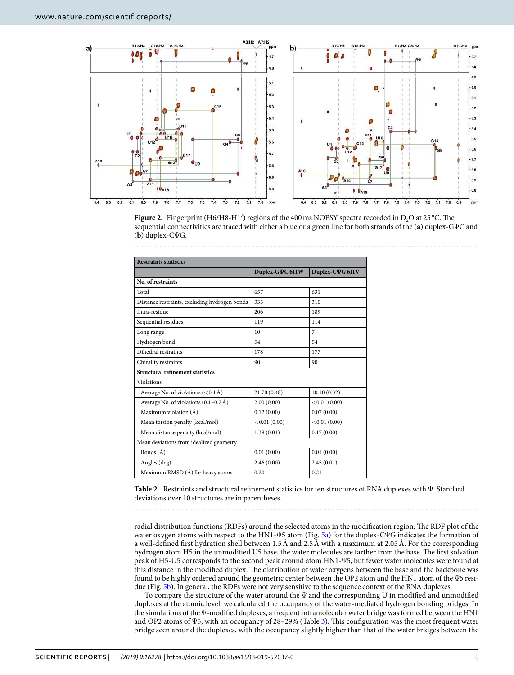

<span id="page-3-0"></span>**Figure 2.** Fingerprint (H6/H8-H1') regions of the 400 ms NOESY spectra recorded in D<sub>2</sub>O at 25 °C. The sequential connectivities are traced with either a blue or a green line for both strands of the (**a**) duplex-GΨC and (**b**) duplex-CΨG.

<span id="page-3-1"></span>

| <b>Restraints statistics</b>                  |                 |                        |  |  |  |  |  |
|-----------------------------------------------|-----------------|------------------------|--|--|--|--|--|
|                                               | Duplex-GVC 611W | Duplex-C $\Psi$ G 611V |  |  |  |  |  |
| No. of restraints                             |                 |                        |  |  |  |  |  |
| Total                                         | 657             | 631                    |  |  |  |  |  |
| Distance restraints, excluding hydrogen bonds | 335             | 310                    |  |  |  |  |  |
| Intra-residue                                 | 206             | 189                    |  |  |  |  |  |
| Sequential residues                           | 119             | 114                    |  |  |  |  |  |
| Long range                                    | 10              | $\overline{7}$         |  |  |  |  |  |
| Hydrogen bond                                 | 54              | 54                     |  |  |  |  |  |
| Dihedral restraints                           | 178             | 177                    |  |  |  |  |  |
| Chirality restraints                          | 90              | 90                     |  |  |  |  |  |
| Structural refinement statistics              |                 |                        |  |  |  |  |  |
| <b>Violations</b>                             |                 |                        |  |  |  |  |  |
| Average No. of violations $(<0.1 \text{ Å})$  | 21.70 (0.48)    | 10.10(0.32)            |  |  |  |  |  |
| Average No. of violations (0.1-0.2 Å)         | 2.00(0.00)      | < 0.01(0.00)           |  |  |  |  |  |
| Maximum violation (Å)                         | 0.12(0.00)      | 0.07(0.00)             |  |  |  |  |  |
| Mean torsion penalty (kcal/mol)               | < 0.01(0.00)    | < 0.01(0.00)           |  |  |  |  |  |
| Mean distance penalty (kcal/mol)              | 1.39(0.01)      | 0.17(0.00)             |  |  |  |  |  |
| Mean deviations from idealized geometry       |                 |                        |  |  |  |  |  |
| Bonds $(\AA)$                                 | 0.01(0.00)      | 0.01(0.00)             |  |  |  |  |  |
| Angles (deg)                                  | 2.46(0.00)      | 2.45(0.01)             |  |  |  |  |  |
| Maximum RMSD (Å) for heavy atoms              | 0.20            | 0.21                   |  |  |  |  |  |

**Table 2.** Restraints and structural refinement statistics for ten structures of RNA duplexes with Ψ. Standard deviations over 10 structures are in parentheses.

radial distribution functions (RDFs) around the selected atoms in the modification region. The RDF plot of the water oxygen atoms with respect to the HN1-Ψ5 atom (Fig. [5a\)](#page-5-0) for the duplex-CΨG indicates the formation of a well-defined first hydration shell between 1.5 Å and 2.5 Å with a maximum at 2.05 Å. For the corresponding hydrogen atom H5 in the unmodified U5 base, the water molecules are farther from the base. The first solvation peak of H5-U5 corresponds to the second peak around atom HN1-Ψ5, but fewer water molecules were found at this distance in the modified duplex. The distribution of water oxygens between the base and the backbone was found to be highly ordered around the geometric center between the OP2 atom and the HN1 atom of the Ψ5 residue (Fig. [5b](#page-5-0)). In general, the RDFs were not very sensitive to the sequence context of the RNA duplexes.

To compare the structure of the water around the Ψ and the corresponding U in modified and unmodified duplexes at the atomic level, we calculated the occupancy of the water-mediated hydrogen bonding bridges. In the simulations of the Ψ-modified duplexes, a frequent intramolecular water bridge was formed between the HN1 and OP2 atoms of Ψ5, with an occupancy of 28–29% (Table [3\)](#page-5-1). This configuration was the most frequent water bridge seen around the duplexes, with the occupancy slightly higher than that of the water bridges between the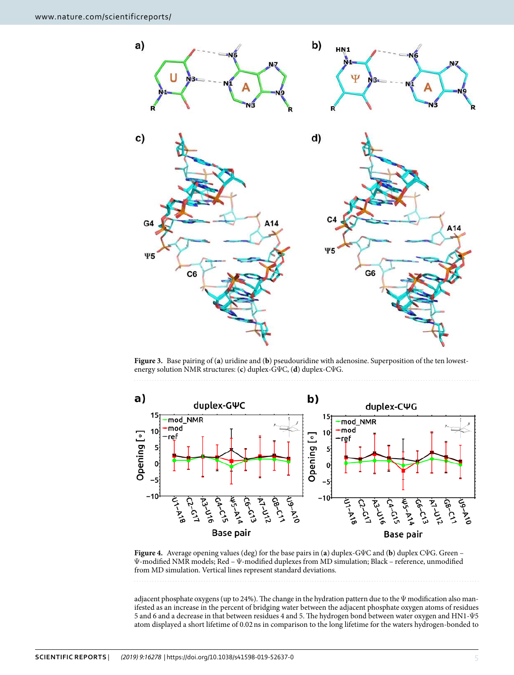

<span id="page-4-0"></span>**Figure 3.** Base pairing of (**a**) uridine and (**b**) pseudouridine with adenosine. Superposition of the ten lowestenergy solution NMR structures: (**c**) duplex-GΨC, (**d**) duplex-CΨG.



<span id="page-4-1"></span>**Figure 4.** Average opening values (deg) for the base pairs in (**a**) duplex-GΨC and (**b**) duplex CΨG. Green – Ψ-modified NMR models; Red – Ψ-modified duplexes from MD simulation; Black – reference, unmodified from MD simulation. Vertical lines represent standard deviations.

adjacent phosphate oxygens (up to 24%). The change in the hydration pattern due to the Ψ modification also manifested as an increase in the percent of bridging water between the adjacent phosphate oxygen atoms of residues 5 and 6 and a decrease in that between residues 4 and 5. The hydrogen bond between water oxygen and HN1-Ψ5 atom displayed a short lifetime of 0.02 ns in comparison to the long lifetime for the waters hydrogen-bonded to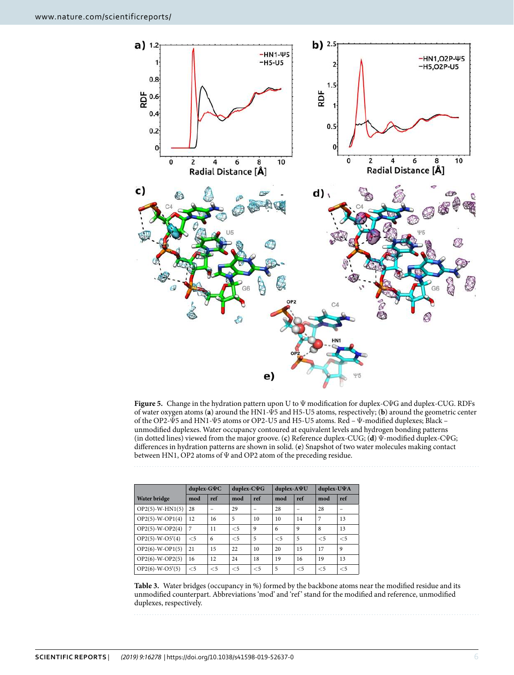

<span id="page-5-0"></span>**Figure 5.** Change in the hydration pattern upon U to Ψ modification for duplex-CΨG and duplex-CUG. RDFs of water oxygen atoms (**a**) around the HN1-Ψ5 and H5-U5 atoms, respectively; (**b**) around the geometric center of the OP2-Ψ5 and HN1-Ψ5 atoms or OP2-U5 and H5-U5 atoms. Red – Ψ-modified duplexes; Black – unmodified duplexes. Water occupancy contoured at equivalent levels and hydrogen bonding patterns (in dotted lines) viewed from the major groove. (**c**) Reference duplex-CUG; (**d**) Ψ-modified duplex-CΨG; differences in hydration patterns are shown in solid. (**e**) Snapshot of two water molecules making contact between HN1, OP2 atoms of Ψ and OP2 atom of the preceding residue.

<span id="page-5-1"></span>

|                   | duplex-G $\Psi C$ |       | duplex- $C\Psi G$ |          | duplex-AVU |       | duplex-UVA |       |  |
|-------------------|-------------------|-------|-------------------|----------|------------|-------|------------|-------|--|
| Water bridge      | mod               | ref   | mod               | ref      | mod        | ref   | mod        | ref   |  |
| $OP2(5)-W-HN1(5)$ | 28                |       | 29                |          | 28         |       | 28         |       |  |
| $OP2(5)-W-OP1(4)$ | 12                | 16    | 5                 | 10       | 10         | 14    | 7          | 13    |  |
| $OP2(5)-W-OP2(4)$ | 7                 | 11    | $<$ 5             | 9        | 6          | 9     | 8          | 13    |  |
| $OP2(5)-W-O5'(4)$ | $<$ 5             | 6     | $<$ 5             | 5        | $<$ 5      | 5     | $<$ 5      | $<$ 5 |  |
| $OP2(6)-W-OP1(5)$ | 21                | 15    | 22                | 10       | 20         | 15    | 17         | 9     |  |
| $OP2(6)-W-OP2(5)$ | 16                | 12    | 24                | 18       | 19         | 16    | 19         | 13    |  |
| $OP2(6)-W-O5'(5)$ | $\leq$ 5          | $<$ 5 | $<$ 5             | $\leq 5$ | 5          | $<$ 5 | $<$ 5      | $<$ 5 |  |

**Table 3.** Water bridges (occupancy in %) formed by the backbone atoms near the modified residue and its unmodified counterpart. Abbreviations 'mod' and 'ref' stand for the modified and reference, unmodified duplexes, respectively.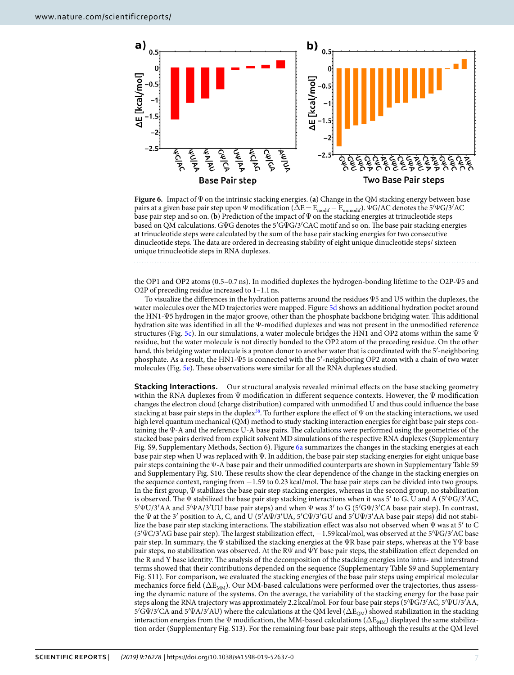

<span id="page-6-0"></span>**Figure 6.** Impact of Ψ on the intrinsic stacking energies. (**a**) Change in the QM stacking energy between base pairs at a given base pair step upon  $\Psi$  modification ( $\Delta E = E_{\text{modif}} - E_{\text{unmodif}}$ ).  $\Psi G / AC$  denotes the 5′ $\Psi G / 3'AC$ base pair step and so on. (**b**) Prediction of the impact of Ψ on the stacking energies at trinucleotide steps based on QM calculations. GΨG denotes the 5′GΨG/3′CAC motif and so on. The base pair stacking energies at trinucleotide steps were calculated by the sum of the base pair stacking energies for two consecutive dinucleotide steps. The data are ordered in decreasing stability of eight unique dinucleotide steps/ sixteen unique trinucleotide steps in RNA duplexes.

the OP1 and OP2 atoms (0.5–0.7 ns). In modified duplexes the hydrogen-bonding lifetime to the O2P-Ψ5 and O2P of preceding residue increased to 1–1.1 ns.

To visualize the differences in the hydration patterns around the residues Ψ5 and U5 within the duplexes, the water molecules over the MD trajectories were mapped. Figure [5d](#page-5-0) shows an additional hydration pocket around the HN1-Ψ5 hydrogen in the major groove, other than the phosphate backbone bridging water. This additional hydration site was identified in all the Ψ-modified duplexes and was not present in the unmodified reference structures (Fig. [5c](#page-5-0)). In our simulations, a water molecule bridges the HN1 and OP2 atoms within the same  $\Psi$ residue, but the water molecule is not directly bonded to the OP2 atom of the preceding residue. On the other hand, this bridging water molecule is a proton donor to another water that is coordinated with the 5′-neighboring phosphate. As a result, the HN1-Ψ5 is connected with the 5′-neighboring OP2 atom with a chain of two water molecules (Fig. [5e](#page-5-0)). These observations were similar for all the RNA duplexes studied.

**Stacking Interactions.** Our structural analysis revealed minimal effects on the base stacking geometry within the RNA duplexes from  $\Psi$  modification in different sequence contexts. However, the  $\Psi$  modification changes the electron cloud (charge distribution) compared with unmodified U and thus could influence the base stacking at base pair steps in the duplex<sup>[38](#page-10-33)</sup>. To further explore the effect of  $\Psi$  on the stacking interactions, we used high level quantum mechanical (QM) method to study stacking interaction energies for eight base pair steps containing the Ψ-A and the reference U-A base pairs. The calculations were performed using the geometries of the stacked base pairs derived from explicit solvent MD simulations of the respective RNA duplexes (Supplementary Fig. S9, Supplementary Methods, Section 6). Figure [6a](#page-6-0) summarizes the changes in the stacking energies at each base pair step when U was replaced with Ψ. In addition, the base pair step stacking energies for eight unique base pair steps containing the Ψ-A base pair and their unmodified counterparts are shown in Supplementary Table S9 and Supplementary Fig. S10. These results show the clear dependence of the change in the stacking energies on the sequence context, ranging from −1.59 to 0.23 kcal/mol. The base pair steps can be divided into two groups. In the first group, Ψ stabilizes the base pair step stacking energies, whereas in the second group, no stabilization is observed. The Ψ stabilized the base pair step stacking interactions when it was 5' to G, U and A (5'ΨG/3'AC, 5′ΨU/3′AA and 5′ΨA/3′UU base pair steps) and when Ψ was 3′ to G (5′GΨ/3′CA base pair step). In contrast, the Ψ at the 3′ position to A, C, and U (5′AΨ/3′UA, 5′CΨ/3′GU and 5′UΨ/3′AA base pair steps) did not stabilize the base pair step stacking interactions. The stabilization effect was also not observed when Ψ was at 5′ to C (5′ΨC/3′AG base pair step). The largest stabilization effect, −1.59 kcal/mol, was observed at the 5′ΨG/3′AC base pair step. In summary, the Ψ stabilized the stacking energies at the ΨR base pair steps, whereas at the YΨ base pair steps, no stabilization was observed. At the RΨ and ΨY base pair steps, the stabilization effect depended on the R and Y base identity. The analysis of the decomposition of the stacking energies into intra- and interstrand terms showed that their contributions depended on the sequence (Supplementary Table S9 and Supplementary Fig. S11). For comparison, we evaluated the stacking energies of the base pair steps using empirical molecular mechanics force field ( $\Delta E_{MM}$ ). Our MM-based calculations were performed over the trajectories, thus assessing the dynamic nature of the systems. On the average, the variability of the stacking energy for the base pair steps along the RNA trajectory was approximately 2.2 kcal/mol. For four base pair steps (5′ΨG/3′AC, 5′ΨU/3′AA,  $5'$ GΨ/3<sup>'</sup>CA and  $5'\Psi$ A/3<sup>'</sup>AU) where the calculations at the QM level ( $\Delta E_{OM}$ ) showed stabilization in the stacking interaction energies from the Ψ modification, the MM-based calculations ( $\Delta E_{MM}$ ) displayed the same stabilization order (Supplementary Fig. S13). For the remaining four base pair steps, although the results at the QM level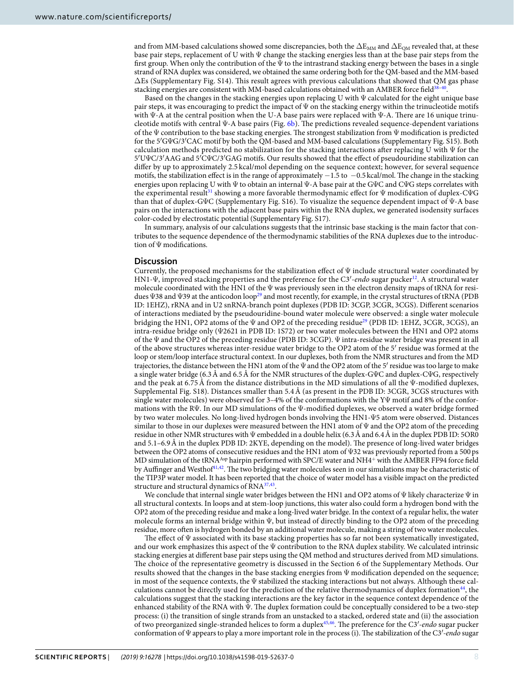and from MM-based calculations showed some discrepancies, both the  $\Delta E_{MM}$  and  $\Delta E_{OM}$  revealed that, at these base pair steps, replacement of U with Ψ change the stacking energies less than at the base pair steps from the first group. When only the contribution of the  $\Psi$  to the intrastrand stacking energy between the bases in a single strand of RNA duplex was considered, we obtained the same ordering both for the QM-based and the MM-based  $\Delta$ Es (Supplementary Fig. S14). This result agrees with previous calculations that showed that QM gas phase stacking energies are consistent with MM-based calculations obtained with an AMBER force field<sup>38-[40](#page-10-34)</sup> .

Based on the changes in the stacking energies upon replacing U with Ψ calculated for the eight unique base pair steps, it was encouraging to predict the impact of  $\Psi$  on the stacking energy within the trinucleotide motifs with Ψ-A at the central position when the U-A base pairs were replaced with Ψ-A. There are 16 unique trinucleotide motifs with central Ψ-A base pairs (Fig. [6b\)](#page-6-0). The predictions revealed sequence-dependent variations of the Ψ contribution to the base stacking energies. The strongest stabilization from Ψ modification is predicted for the 5′GΨG/3′CAC motif by both the QM-based and MM-based calculations (Supplementary Fig. S15). Both calculation methods predicted no stabilization for the stacking interactions after replacing U with Ψ for the 5′UΨC/3′AAG and 5′CΨC/3′GAG motifs. Our results showed that the effect of pseudouridine stabilization can differ by up to approximately 2.5 kcal/mol depending on the sequence context; however, for several sequence motifs, the stabilization effect is in the range of approximately −1.5 to −0.5 kcal/mol. The change in the stacking energies upon replacing U with  $\Psi$  to obtain an internal  $\Psi$ -A base pair at the G $\Psi$ C and C $\Psi$ G steps correlates with the experimental result<sup>[31](#page-10-25)</sup> showing a more favorable thermodynamic effect for Ψ modification of duplex-CΨG than that of duplex-GΨC (Supplementary Fig. S16). To visualize the sequence dependent impact of Ψ-A base pairs on the interactions with the adjacent base pairs within the RNA duplex, we generated isodensity surfaces color-coded by electrostatic potential (Supplementary Fig. S17).

In summary, analysis of our calculations suggests that the intrinsic base stacking is the main factor that contributes to the sequence dependence of the thermodynamic stabilities of the RNA duplexes due to the introduction of Ψ modifications.

### **Discussion**

Currently, the proposed mechanisms for the stabilization effect of Ψ include structural water coordinated by HN1-Ψ, improved stacking properties and the preference for the C3'-endo sugar pucker<sup>[12](#page-10-8)</sup>. A structural water molecule coordinated with the HN1 of the Ψ was previously seen in the electron density maps of tRNA for resi-dues Ψ38 and Ψ39 at the anticodon loop<sup>[29](#page-10-23)</sup> and most recently, for example, in the crystal structures of tRNA (PDB ID: 1EHZ), rRNA and in U2 snRNA-branch point duplexes (PDB ID: 3CGP, 3CGR, 3CGS). Different scenarios of interactions mediated by the pseudouridine-bound water molecule were observed: a single water molecule bridging the HN1, OP2 atoms of the  $\Psi$  and OP2 of the preceding residue<sup>[29](#page-10-23)</sup> (PDB ID: 1EHZ, 3CGR, 3CGS), an intra-residue bridge only (Ψ2621 in PDB ID: 1S72) or two water molecules between the HN1 and OP2 atoms of the Ψ and the OP2 of the preceding residue (PDB ID: 3CGP). Ψ intra-residue water bridge was present in all of the above structures whereas inter-residue water bridge to the OP2 atom of the 5′ residue was formed at the loop or stem/loop interface structural context. In our duplexes, both from the NMR structures and from the MD trajectories, the distance between the HN1 atom of the  $\Psi$  and the OP2 atom of the 5' residue was too large to make a single water bridge (6.3 Å and 6.5 Å for the NMR structures of the duplex-GΨC and duplex-CΨG, respectively and the peak at 6.75 Å from the distance distributions in the MD simulations of all the Ψ-modified duplexes, Supplemental Fig. S18). Distances smaller than 5.4 Å (as present in the PDB ID: 3CGR, 3CGS structures with single water molecules) were observed for 3–4% of the conformations with the YΨ motif and 8% of the conformations with the RΨ. In our MD simulations of the Ψ-modified duplexes, we observed a water bridge formed by two water molecules. No long-lived hydrogen bonds involving the HN1-Ψ5 atom were observed. Distances similar to those in our duplexes were measured between the HN1 atom of Ψ and the OP2 atom of the preceding residue in other NMR structures with Ψ embedded in a double helix (6.3 Å and 6.4 Å in the duplex PDB ID: 5OR0 and 5.1–6.9 Å in the duplex PDB ID: 2KYE, depending on the model). The presence of long-lived water bridges between the OP2 atoms of consecutive residues and the HN1 atom of Ψ32 was previously reported from a 500 ps MD simulation of the tRNA<sup>Asp</sup> hairpin performed with SPC/E water and NH4<sup>+</sup> with the AMBER FF94 force field by Auffinger and Westhof<sup>[41](#page-10-35),[42](#page-10-36)</sup>. The two bridging water molecules seen in our simulations may be characteristic of the TIP3P water model. It has been reported that the choice of water model has a visible impact on the predicted structure and structural dynamics of RNA<sup>[37,](#page-10-32)[43](#page-11-0)</sup>.

We conclude that internal single water bridges between the HN1 and OP2 atoms of Ψ likely characterize Ψ in all structural contexts. In loops and at stem-loop junctions, this water also could form a hydrogen bond with the OP2 atom of the preceding residue and make a long-lived water bridge. In the context of a regular helix, the water molecule forms an internal bridge within Ψ, but instead of directly binding to the OP2 atom of the preceding residue, more often is hydrogen bonded by an additional water molecule, making a string of two water molecules.

The effect of Ψ associated with its base stacking properties has so far not been systematically investigated, and our work emphasizes this aspect of the  $\Psi$  contribution to the RNA duplex stability. We calculated intrinsic stacking energies at different base pair steps using the QM method and structures derived from MD simulations. The choice of the representative geometry is discussed in the Section 6 of the Supplementary Methods. Our results showed that the changes in the base stacking energies from Ψ modification depended on the sequence; in most of the sequence contexts, the  $\Psi$  stabilized the stacking interactions but not always. Although these cal-culations cannot be directly used for the prediction of the relative thermodynamics of duplex formation<sup>[44](#page-11-1)</sup>, the calculations suggest that the stacking interactions are the key factor in the sequence context dependence of the enhanced stability of the RNA with Ψ. The duplex formation could be conceptually considered to be a two-step process: (i) the transition of single strands from an unstacked to a stacked, ordered state and (ii) the association of two preorganized single-stranded helices to form a duplex<sup>[45](#page-11-2),[46](#page-11-3)</sup>. The preference for the C3'-endo sugar pucker conformation of  $\Psi$  appears to play a more important role in the process (i). The stabilization of the C3'-endo sugar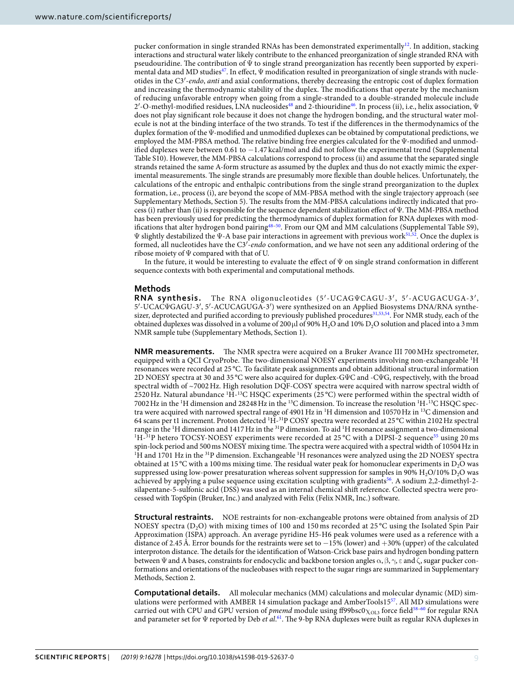pucker conformation in single stranded RNAs has been demonstrated experimentally<sup>[12](#page-10-8)</sup>. In addition, stacking interactions and structural water likely contribute to the enhanced preorganization of single stranded RNA with pseudouridine. The contribution of Ψ to single strand preorganization has recently been supported by experi-mental data and MD studies<sup>[47](#page-11-4)</sup>. In effect,  $\Psi$  modification resulted in preorganization of single strands with nucleotides in the C3′-endo, anti and axial conformations, thereby decreasing the entropic cost of duplex formation and increasing the thermodynamic stability of the duplex. The modifications that operate by the mechanism of reducing unfavorable entropy when going from a single-stranded to a double-stranded molecule include 2'-O-methyl-modified residues, LNA nucleosides<sup>[48](#page-11-5)</sup> and 2-thiouridine<sup>[46](#page-11-3)</sup>. In process (ii), i.e., helix association, Ψ does not play significant role because it does not change the hydrogen bonding, and the structural water molecule is not at the binding interface of the two strands. To test if the differences in the thermodynamics of the duplex formation of the Ψ-modified and unmodified duplexes can be obtained by computational predictions, we employed the MM-PBSA method. The relative binding free energies calculated for the Ψ-modified and unmodified duplexes were between 0.61 to −1.47 kcal/mol and did not follow the experimental trend (Supplemental Table S10). However, the MM-PBSA calculations correspond to process (ii) and assume that the separated single strands retained the same A-form structure as assumed by the duplex and thus do not exactly mimic the experimental measurements. The single strands are presumably more flexible than double helices. Unfortunately, the calculations of the entropic and enthalpic contributions from the single strand preorganization to the duplex formation, i.e., process (i), are beyond the scope of MM-PBSA method with the single trajectory approach (see Supplementary Methods, Section 5). The results from the MM-PBSA calculations indirectly indicated that process (i) rather than (ii) is responsible for the sequence dependent stabilization effect of Ψ. The MM-PBSA method has been previously used for predicting the thermodynamics of duplex formation for RNA duplexes with mod-ifications that alter hydrogen bond pairing<sup>[48](#page-11-5)–[50](#page-11-6)</sup>. From our QM and MM calculations (Supplemental Table S9),  $\Psi$  slightly destabilized the  $\Psi$ -A base pair interactions in agreement with previous work<sup>[51,](#page-11-7)[52](#page-11-8)</sup>. Once the duplex is formed, all nucleotides have the C3'-endo conformation, and we have not seen any additional ordering of the ribose moiety of  $\Psi$  compared with that of U.

In the future, it would be interesting to evaluate the effect of  $\Psi$  on single strand conformation in different sequence contexts with both experimental and computational methods.

**Methods** The RNA oligonucleotides (5'-UCAGΨCAGU-3', 5'-ACUGACUGA-3', 5′-UCACΨGAGU-3′, 5′-ACUCAGUGA-3′) were synthesized on an Applied Biosystems DNA/RNA synthe-sizer, deprotected and purified according to previously published procedures<sup>[31](#page-10-25),[53](#page-11-9),[54](#page-11-10)</sup>. For NMR study, each of the obtained duplexes was dissolved in a volume of 200 µl of 90% H<sub>2</sub>O and 10% D<sub>2</sub>O solution and placed into a 3 mm NMR sample tube (Supplementary Methods, Section 1).

**NMR measurements.** The NMR spectra were acquired on a Bruker Avance III 700 MHz spectrometer, equipped with a QCI CryoProbe. The two-dimensional NOESY experiments involving non-exchangeable <sup>1</sup>H resonances were recorded at 25 °C. To facilitate peak assignments and obtain additional structural information 2D NOESY spectra at 30 and 35 °C were also acquired for duplex-GΨC and -CΨG, respectively, with the broad spectral width of ~7002 Hz. High resolution DQF-COSY spectra were acquired with narrow spectral width of 2520 Hz. Natural abundance  ${}^{1}\tilde{H}$ -<sup>13</sup>C HSQC experiments (25 °C) were performed within the spectral width of 7002 Hz in the 1H dimension and 28248 Hz in the 13C dimension. To increase the resolution 1H-13C HSQC spectra were acquired with narrowed spectral range of 4901 Hz in <sup>1</sup>H dimension and 10570 Hz in <sup>13</sup>C dimension and 64 scans per t1 increment. Proton detected <sup>1</sup>H-<sup>31</sup>P COSY spectra were recorded at 25 °C within 2102 Hz spectral range in the <sup>1</sup>H dimension and 1417 Hz in the <sup>31</sup>P dimension. To aid <sup>1</sup>H resonance assignment a two-dimensional  $1\text{H}-31\text{P}$  hetero TOCSY-NOESY experiments were recorded at 25 °C with a DIPSI-2 sequence<sup>[55](#page-11-11)</sup> using 20 ms spin-lock period and 500 ms NOESY mixing time. The spectra were acquired with a spectral width of 10504 Hz in <sup>1</sup>H and 1701 Hz in the <sup>31</sup>P dimension. Exchangeable <sup>1</sup>H resonances were analyzed using the 2D NOESY spectra obtained at 15 °C with a 100 ms mixing time. The residual water peak for homonuclear experiments in  $D_2O$  was suppressed using low-power presaturation whereas solvent suppression for samples in 90%  $H<sub>2</sub>O/10%$  D<sub>2</sub>O was achieved by applying a pulse sequence using excitation sculpting with gradients[56](#page-11-12). A sodium 2,2-dimethyl-2 silapentane-5-sulfonic acid (DSS) was used as an internal chemical shift reference. Collected spectra were processed with TopSpin (Bruker, Inc.) and analyzed with Felix (Felix NMR, Inc.) software.

**Structural restraints.** NOE restraints for non-exchangeable protons were obtained from analysis of 2D NOESY spectra  $(D, O)$  with mixing times of 100 and 150 ms recorded at 25 °C using the Isolated Spin Pair Approximation (ISPA) approach. An average pyridine H5-H6 peak volumes were used as a reference with a distance of 2.45 Å. Error bounds for the restraints were set to −15% (lower) and +30% (upper) of the calculated interproton distance. The details for the identification of Watson-Crick base pairs and hydrogen bonding pattern between Ψ and A bases, constraints for endocyclic and backbone torsion angles  $\alpha, \beta, \gamma, \epsilon$  and  $\zeta$ , sugar pucker conformations and orientations of the nucleobases with respect to the sugar rings are summarized in Supplementary Methods, Section 2.

**Computational details.** All molecular mechanics (MM) calculations and molecular dynamic (MD) simulations were performed with AMBER 14 simulation package and AmberTools15[57](#page-11-13). All MD simulations were carried out with CPU and GPU version of pmemd module using ff99bsc0 $\chi_{OL3}$  force field<sup>[58](#page-11-14)-60</sup> for regular RNA and parameter set for  $\Psi$  reported by Deb et al.<sup>[61](#page-11-16)</sup>. The 9-bp RNA duplexes were built as regular RNA duplexes in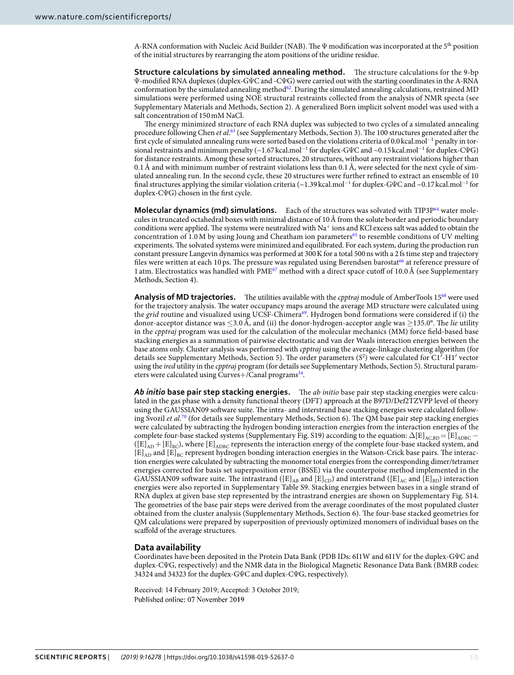A-RNA conformation with Nucleic Acid Builder (NAB). The Ψ modification was incorporated at the 5th position of the initial structures by rearranging the atom positions of the uridine residue.

**Structure calculations by simulated annealing method.** The structure calculations for the 9-bp Ψ-modified RNA duplexes (duplex-GΨC and -CΨG) were carried out with the starting coordinates in the A-RNA conformation by the simulated annealing method<sup>[62](#page-11-17)</sup>. During the simulated annealing calculations, restrained MD simulations were performed using NOE structural restraints collected from the analysis of NMR specta (see Supplementary Materials and Methods, Section 2). A generalized Born implicit solvent model was used with a salt concentration of 150 mM NaCl.

The energy minimized structure of each RNA duplex was subjected to two cycles of a simulated annealing procedure following Chen et al.<sup>[63](#page-11-18)</sup> (see Supplementary Methods, Section 3). The 100 structures generated after the first cycle of simulated annealing runs were sorted based on the violations criteria of 0.0 kcal.mol<sup>−</sup><sup>1</sup> penalty in torsional restraints and minimum penalty (~1.67 kcal.mol<sup>−</sup><sup>1</sup> for duplex-GΨC and ~0.15 kcal.mol<sup>−</sup><sup>1</sup> for duplex-CΨG) for distance restraints. Among these sorted structures, 20 structures, without any restraint violations higher than 0.1 Å and with minimum number of restraint violations less than 0.1 Å, were selected for the next cycle of simulated annealing run. In the second cycle, these 20 structures were further refined to extract an ensemble of 10 final structures applying the similar violation criteria (~1.39 kcal.mol<sup>-1</sup> for duplex-GΨC and ~0.17 kcal.mol<sup>-1</sup> for duplex-CΨG) chosen in the first cycle.

**Molecular dynamics (md) simulations.** Each of the structures was solvated with TIP3P<sup>[64](#page-11-19)</sup> water molecules in truncated octahedral boxes with minimal distance of 10 Å from the solute border and periodic boundary conditions were applied. The systems were neutralized with Na<sup>+</sup> ions and KCl excess salt was added to obtain the concentration of 1.0 M by using Joung and Cheatham ion parameters<sup>[65](#page-11-20)</sup> to resemble conditions of UV melting experiments. The solvated systems were minimized and equilibrated. For each system, during the production run constant pressure Langevin dynamics was performed at 300 K for a total 500 ns with a 2 fs time step and trajectory files were written at each 10 ps. The pressure was regulated using Berendsen barostat<sup>[66](#page-11-21)</sup> at reference pressure of 1 atm. Electrostatics was handled with PME<sup>[67](#page-11-22)</sup> method with a direct space cutoff of 10.0 Å (see Supplementary Methods, Section 4).

Analysis of MD trajectories. The utilities available with the *cpptraj* module of AmberTools 15<sup>[68](#page-11-23)</sup> were used for the trajectory analysis. The water occupancy maps around the average MD structure were calculated using the grid routine and visualized using UCSF-Chimera<sup>[69](#page-11-24)</sup>. Hydrogen bond formations were considered if (i) the donor-acceptor distance was  $\leq 3.0$  Å, and (ii) the donor-hydrogen-acceptor angle was  $\geq 135.0^{\circ}$ . The lie utility in the *cpptraj* program was used for the calculation of the molecular mechanics (MM) force field-based base stacking energies as a summation of pairwise electrostatic and van der Waals interaction energies between the base atoms only. Cluster analysis was performed with cpptraj using the average-linkage clustering algorithm (for details see Supplementary Methods, Section 5). The order parameters (S 2 ) were calculated for C1′-H1′ vector using the *ired* utility in the *cpptraj* program (for details see Supplementary Methods, Section 5). Structural param-eters were calculated using Curves+/Canal programs<sup>[34](#page-10-29)</sup>.

*Ab initio* **base pair step stacking energies.** The ab initio base pair step stacking energies were calculated in the gas phase with a density functional theory (DFT) approach at the B97D/Def2TZVPP level of theory using the GAUSSIAN09 software suite. The intra- and interstrand base stacking energies were calculated follow-ing Svozil et al.<sup>[70](#page-11-25)</sup> (for details see Supplementary Methods, Section 6). The QM base pair step stacking energies were calculated by subtracting the hydrogen bonding interaction energies from the interaction energies of the complete four-base stacked systems (Supplementary Fig. S19) according to the equation:  $\Delta$ [E]<sub>AC,BD</sub> = [E]<sub>ADBC</sub> −  $([E]_{AD}+[E]_{BC})$ , where  $[E]_{ADE}$  represents the interaction energy of the complete four-base stacked system, and  $[E]_{AD}$  and  $[E]_{BC}$  represent hydrogen bonding interaction energies in the Watson-Crick base pairs. The interaction energies were calculated by subtracting the monomer total energies from the corresponding dimer/tetramer energies corrected for basis set superposition error (BSSE) via the counterpoise method implemented in the GAUSSIAN09 software suite. The intrastrand ( $[E]_{AB}$  and  $[E]_{CD}$ ) and interstrand ( $[E]_{AC}$  and  $[E]_{BD}$ ) interaction energies were also reported in Supplementary Table S9. Stacking energies between bases in a single strand of RNA duplex at given base step represented by the intrastrand energies are shown on Supplementary Fig. S14. The geometries of the base pair steps were derived from the average coordinates of the most populated cluster obtained from the cluster analysis (Supplementary Methods, Section 6). The four-base stacked geometries for QM calculations were prepared by superposition of previously optimized monomers of individual bases on the scaffold of the average structures.

### **Data availability**

Coordinates have been deposited in the Protein Data Bank (PDB IDs: 6I1W and 6I1V for the duplex-GΨC and duplex-CΨG, respectively) and the NMR data in the Biological Magnetic Resonance Data Bank (BMRB codes: 34324 and 34323 for the duplex-GΨC and duplex-CΨG, respectively).

Received: 14 February 2019; Accepted: 3 October 2019; Published online: 07 November 2019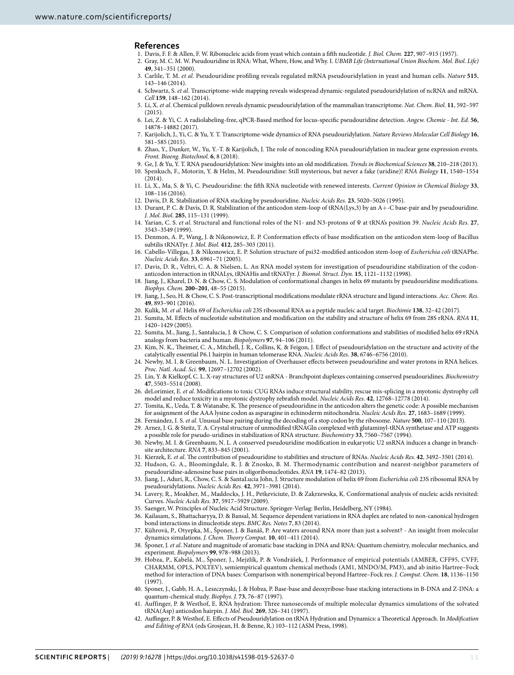#### **References**

- <span id="page-10-0"></span>1. Davis, F. F. & Allen, F. W. Ribonucleic acids from yeast which contain a fifth nucleotide. J. Biol. Chem. **227**, 907–915 (1957).
- <span id="page-10-1"></span> 2. Gray, M. C. M. W. Pseudouridine in RNA: What, Where, How, and Why. I. UBMB Life (International Union Biochem. Mol. Biol. Life) **49**, 341–351 (2000).
- <span id="page-10-2"></span> 3. Carlile, T. M. et al. Pseudouridine profiling reveals regulated mRNA pseudouridylation in yeast and human cells. Nature **515**, 143–146 (2014).
- 4. Schwartz, S. et al. Transcriptome-wide mapping reveals widespread dynamic-regulated pseudouridylation of ncRNA and mRNA. Cell **159**, 148–162 (2014).
- 5. Li, X. et al. Chemical pulldown reveals dynamic pseudouridylation of the mammalian transcriptome. Nat. Chem. Biol. **11**, 592–597  $(2015)$
- <span id="page-10-3"></span> 6. Lei, Z. & Yi, C. A radiolabeling-free, qPCR-Based method for locus-specific pseudouridine detection. Angew. Chemie - Int. Ed. **56**, 14878–14882 (2017).
- <span id="page-10-4"></span> 7. Karijolich, J., Yi, C. & Yu, Y. T. Transcriptome-wide dynamics of RNA pseudouridylation. Nature Reviews Molecular Cell Biology **16**, 581–585 (2015).
- <span id="page-10-5"></span> 8. Zhao, Y., Dunker, W., Yu, Y.-T. & Karijolich, J. The role of noncoding RNA pseudouridylation in nuclear gene expression events. Front. Bioeng. Biotechnol. **6**, 8 (2018).
- <span id="page-10-6"></span> 9. Ge, J. & Yu, Y. T. RNA pseudouridylation: New insights into an old modification. Trends in Biochemical Sciences **38**, 210–218 (2013). 10. Spenkuch, F., Motorin, Y. & Helm, M. Pseudouridine: Still mysterious, but never a fake (uridine)! RNA Biology **11**, 1540–1554 (2014).
- <span id="page-10-7"></span> 11. Li, X., Ma, S. & Yi, C. Pseudouridine: the fifth RNA nucleotide with renewed interests. Current Opinion in Chemical Biology **33**, 108–116 (2016).
- <span id="page-10-8"></span>12. Davis, D. R. Stabilization of RNA stacking by pseudouridine. Nucleic Acids Res. **23**, 5020–5026 (1995).
- <span id="page-10-9"></span> 13. Durant, P. C. & Davis, D. R. Stabilization of the anticodon stem-loop of tRNA(Lys,3) by an A+-C base-pair and by pseudouridine. J. Mol. Biol. **285**, 115–131 (1999).
- 14. Yarian, C. S. et al. Structural and functional roles of the N1- and N3-protons of Ψ at tRNA's position 39. Nucleic Acids Res. **27**, 3543–3549 (1999).
- <span id="page-10-27"></span> 15. Denmon, A. P., Wang, J. & Nikonowicz, E. P. Conformation effects of base modification on the anticodon stem-loop of Bacillus subtilis tRNATyr. J. Mol. Biol. **412**, 285–303 (2011).
- <span id="page-10-10"></span> 16. Cabello-Villegas, J. & Nikonowicz, E. P. Solution structure of psi32-modified anticodon stem-loop of Escherichia coli tRNAPhe. Nucleic Acids Res. **33**, 6961–71 (2005).
- <span id="page-10-11"></span> 17. Davis, D. R., Veltri, C. A. & Nielsen, L. An RNA model system for investigation of pseudouridine stabilization of the codonanticodon interaction in tRNALys, tRNAHis and tRNATyr. J. Biomol. Struct. Dyn. **15**, 1121–1132 (1998).
- <span id="page-10-12"></span> 18. Jiang, J., Kharel, D. N. & Chow, C. S. Modulation of conformational changes in helix 69 mutants by pseudouridine modifications. Biophys. Chem. **200–201**, 48–55 (2015).
- <span id="page-10-13"></span>19. Jiang, J., Seo, H. & Chow, C. S. Post-transcriptional modifications modulate rRNA structure and ligand interactions. Acc. Chem. Res. **49**, 893–901 (2016).
- <span id="page-10-14"></span>20. Kulik, M. et al. Helix 69 of Escherichia coli 23S ribosomal RNA as a peptide nucleic acid target. Biochimie **138**, 32–42 (2017).
- <span id="page-10-15"></span> 21. Sumita, M. Effects of nucleotide substitution and modification on the stability and structure of helix 69 from 28S rRNA. RNA **11**, 1420–1429 (2005).
- <span id="page-10-16"></span> 22. Sumita, M., Jiang, J., Santalucia, J. & Chow, C. S. Comparison of solution conformations and stabilities of modified helix 69 rRNA analogs from bacteria and human. Biopolymers **97**, 94–106 (2011).
- <span id="page-10-17"></span> 23. Kim, N. K., Theimer, C. A., Mitchell, J. R., Collins, K. & Feigon, J. Effect of pseudouridylation on the structure and activity of the catalytically essential P6.1 hairpin in human telomerase RNA. Nucleic Acids Res. **38**, 6746–6756 (2010).
- <span id="page-10-18"></span> 24. Newby, M. I. & Greenbaum, N. L. Investigation of Overhauser effects between pseudouridine and water protons in RNA helices. Proc. Natl. Acad. Sci. **99**, 12697–12702 (2002).
- <span id="page-10-19"></span> 25. Lin, Y. & Kielkopf, C. L. X-ray structures of U2 snRNA - Branchpoint duplexes containing conserved pseudouridines. Biochemistry **47**, 5503–5514 (2008).
- <span id="page-10-20"></span> 26. deLorimier, E. et al. Modifications to toxic CUG RNAs induce structural stability, rescue mis-splicing in a myotonic dystrophy cell model and reduce toxicity in a myotonic dystrophy zebrafish model. Nucleic Acids Res. **42**, 12768–12778 (2014).
- <span id="page-10-21"></span> 27. Tomita, K., Ueda, T. & Watanabe, K. The presence of pseudouridine in the anticodon alters the genetic code: A possible mechanism for assignment of the AAA lysine codon as asparagine in echinoderm mitochondria. Nucleic Acids Res. **27**, 1683–1689 (1999).
- <span id="page-10-23"></span><span id="page-10-22"></span> 28. Fernández, I. S. et al. Unusual base pairing during the decoding of a stop codon by the ribosome. Nature **500**, 107–110 (2013). 29. Arnez, J. G. & Steitz, T. A. Crystal structure of unmodified tRNAGln complexed with glutaminyl-tRNA synthetase and ATP suggests
	- a possible role for pseudo-uridines in stabilization of RNA structure. Biochemistry **33**, 7560–7567 (1994).
- <span id="page-10-24"></span> 30. Newby, M. I. & Greenbaum, N. L. A conserved pseudouridine modification in eukaryotic U2 snRNA induces a change in branchsite architecture. RNA **7**, 833–845 (2001).
- <span id="page-10-25"></span>31. Kierzek, E. et al. The contribution of pseudouridine to stabilities and structure of RNAs. Nucleic Acids Res. **42**, 3492–3501 (2014).
- <span id="page-10-26"></span> 32. Hudson, G. A., Bloomingdale, R. J. & Znosko, B. M. Thermodynamic contribution and nearest-neighbor parameters of pseudouridine-adenosine base pairs in oligoribonucleotides. RNA **19**, 1474–82 (2013).
- <span id="page-10-28"></span>33. Jiang, J., Aduri, R., Chow, C. S. & SantaLucia John, J. Structure modulation of helix 69 from Escherichia coli 23S ribosomal RNA by pseudouridylations. Nucleic Acids Res. **42**, 3971–3981 (2014).
- <span id="page-10-29"></span> 34. Lavery, R., Moakher, M., Maddocks, J. H., Petkeviciute, D. & Zakrzewska, K. Conformational analysis of nucleic acids revisited: Curves. Nucleic Acids Res. **37**, 5917–5929 (2009).
- <span id="page-10-30"></span>35. Saenger, W. Principles of Nucleic Acid Structure. Springer-Verlag: Berlin, Heidelberg, NY (1984).
- <span id="page-10-31"></span> 36. Kailasam, S., Bhattacharyya, D. & Bansal, M. Sequence dependent variations in RNA duplex are related to non-canonical hydrogen bond interactions in dinucleotide steps. BMC Res. Notes **7**, 83 (2014).
- <span id="page-10-32"></span> 37. Kührová, P., Otyepka, M., Šponer, J. & Banáš, P. Are waters around RNA more than just a solvent? - An insight from molecular dynamics simulations. J. Chem. Theory Comput. **10**, 401–411 (2014).
- <span id="page-10-33"></span> 38. Šponer, J. et al. Nature and magnitude of aromatic base stacking in DNA and RNA: Quantum chemistry, molecular mechanics, and experiment. Biopolymers **99**, 978–988 (2013).
- 39. Hobza, P., Kabelá, M., Šponer, J., Mejzlík, P. & Vondrášek, J. Performance of empirical potentials (AMBER, CFF95, CVFF, CHARMM, OPLS, POLTEV), semiempirical quantum chemical methods (AM1, MNDO/M, PM3), and ab initio Hartree–Fock method for interaction of DNA bases: Comparison with nonempirical beyond Hartree–Fock res. J. Comput. Chem. **18**, 1136–1150 (1997).
- <span id="page-10-34"></span> 40. Sponer, J., Gabb, H. A., Leszczynski, J. & Hobza, P. Base-base and deoxyribose-base stacking interactions in B-DNA and Z-DNA: a quantum-chemical study. Biophys. J. **73**, 76–87 (1997).
- <span id="page-10-35"></span> 41. Auffinger, P. & Westhof, E. RNA hydration: Three nanoseconds of multiple molecular dynamics simulations of the solvated tRNA(Asp) anticodon hairpin. J. Mol. Biol. **269**, 326–341 (1997).
- <span id="page-10-36"></span>42. Auffinger, P. & Westhof, E. Effects of Pseudouridylation on tRNA Hydration and Dynamics: a Theoretical Approach. In Modification and Editing of RNA (eds Grosjean, H. & Benne, R.) 103–112 (ASM Press, 1998).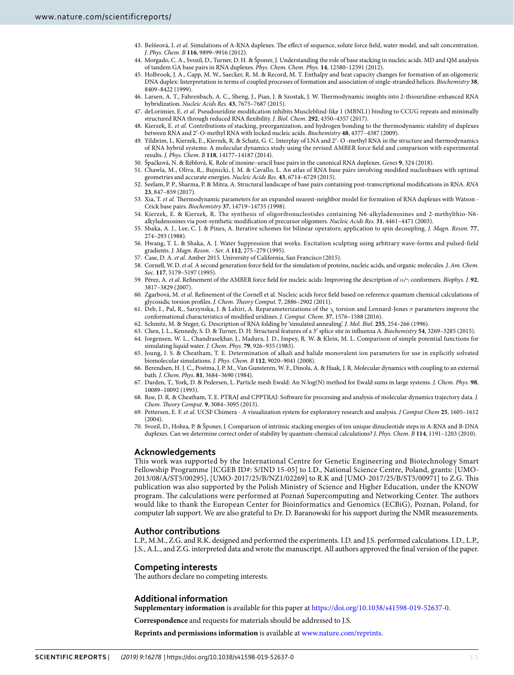- <span id="page-11-0"></span>43. Beššeová, I. et al. Simulations of A-RNA duplexes. The effect of sequence, solute force field, water model, and salt concentration. J. Phys. Chem. B **116**, 9899–9916 (2012).
- <span id="page-11-1"></span> 44. Morgado, C. A., Svozil, D., Turner, D. H. & Šponer, J. Understanding the role of base stacking in nucleic acids. MD and QM analysis of tandem GA base pairs in RNA duplexes. Phys. Chem. Chem. Phys. **14**, 12580–12591 (2012).
- <span id="page-11-2"></span> 45. Holbrook, J. A., Capp, M. W., Saecker, R. M. & Record, M. T. Enthalpy and heat capacity changes for formation of an oligomeric DNA duplex: Interpretation in terms of coupled processes of formation and association of single-stranded helices. Biochemistry **38**, 8409–8422 (1999).
- <span id="page-11-3"></span> 46. Larsen, A. T., Fahrenbach, A. C., Sheng, J., Pian, J. & Szostak, J. W. Thermodynamic insights into 2-thiouridine-enhanced RNA hybridization. Nucleic Acids Res. **43**, 7675–7687 (2015).
- <span id="page-11-4"></span>47. deLorimier, E. et al. Pseudouridine modification inhibits Muscleblind-like 1 (MBNL1) binding to CCUG repeats and minimally structured RNA through reduced RNA flexibility. J. Biol. Chem. **292**, 4350–4357 (2017).
- <span id="page-11-5"></span>48. Kierzek, E. et al. Contributions of stacking, preorganization, and hydrogen bonding to the thermodynamic stability of duplexes between RNA and 2′-O-methyl RNA with locked nucleic acids. Biochemistry **48**, 4377–4387 (2009).
- 49. Yildirim, I., Kierzek, E., Kierzek, R. & Schatz, G. C. Interplay of LNA and 2′- O -methyl RNA in the structure and thermodynamics of RNA hybrid systems: A molecular dynamics study using the revised AMBER force field and comparison with experimental results. J. Phys. Chem. B **118**, 14177–14187 (2014).
- <span id="page-11-6"></span>50. Špačková, N. & Réblová, K. Role of inosine–uracil base pairs in the canonical RNA duplexes. Genes **9**, 324 (2018).
- <span id="page-11-7"></span> 51. Chawla, M., Oliva, R., Bujnicki, J. M. & Cavallo, L. An atlas of RNA base pairs involving modified nucleobases with optimal geometries and accurate energies. Nucleic Acids Res. **43**, 6714–6729 (2015).
- <span id="page-11-8"></span> 52. Seelam, P. P., Sharma, P. & Mitra, A. Structural landscape of base pairs containing post-transcriptional modifications in RNA. RNA **23**, 847–859 (2017).
- <span id="page-11-9"></span>53. Xia, T. et al. Thermodynamic parameters for an expanded nearest-neighbor model for formation of RNA duplexes with Watson -Crick base pairs. Biochemistry **37**, 14719–14735 (1998).
- <span id="page-11-10"></span> 54. Kierzek, E. & Kierzek, R. The synthesis of oligoribonucleotides containing N6-alkyladenosines and 2-methylthio-N6 alkyladenosines via post-synthetic modification of precursor oligomers. Nucleic Acids Res. **31**, 4461–4471 (2003).
- <span id="page-11-11"></span> 55. Shaka, A. J., Lee, C. J. & Pines, A. Iterative schemes for bilinear operators; application to spin decoupling. J. Magn. Reson. **77**, 274–293 (1988).
- <span id="page-11-12"></span> 56. Hwang, T. L. & Shaka, A. J. Water Suppression that works. Excitation sculpting using arbitrary wave-forms and pulsed-field gradients. J. Magn. Reson. - Ser. A **112**, 275–279 (1995).
- <span id="page-11-13"></span>57. Case, D. A. et al. Amber 2015. University of California, San Francisco (2015).
- <span id="page-11-14"></span>58. Cornell, W. D. et al. A second generation force field for the simulation of proteins, nucleic acids, and organic molecules. J. Am. Chem. Soc. **117**, 5179–5197 (1995).
- 59. Pérez, A. et al. Refinement of the AMBER force field for nucleic acids: Improving the description of α/γ conformers. Biophys. J. **92**, 3817–3829 (2007).
- <span id="page-11-15"></span> 60. Zgarbová, M. et al. Refinement of the Cornell et al. Nucleic acids force field based on reference quantum chemical calculations of glycosidic torsion profiles. J. Chem. Theory Comput. **7**, 2886–2902 (2011).
- <span id="page-11-16"></span>Deb, I., Pal, R., Sarzynska, J. & Lahiri, A. Reparameterizations of the χ torsion and Lennard-Jones σ parameters improve the conformational characteristics of modified uridines. J. Comput. Chem. **37**, 1576–1588 (2016).
- <span id="page-11-17"></span>62. Schmitz, M. & Steger, G. Description of RNA folding by 'simulated annealing'. J. Mol. Biol. **255**, 254–266 (1996).
- <span id="page-11-18"></span>63. Chen, J. L., Kennedy, S. D. & Turner, D. H. Structural features of a 3′ splice site in influenza A. Biochemistry **54**, 3269–3285 (2015).
- <span id="page-11-19"></span> 64. Jorgensen, W. L., Chandrasekhar, J., Madura, J. D., Impey, R. W. & Klein, M. L. Comparison of simple potential functions for simulating liquid water. J. Chem. Phys. **79**, 926–935 (1983).
- <span id="page-11-20"></span> 65. Joung, I. S. & Cheatham, T. E. Determination of alkali and halide monovalent ion parameters for use in explicitly solvated biomolecular simulations. J. Phys. Chem. B **112**, 9020–9041 (2008).
- <span id="page-11-21"></span> 66. Berendsen, H. J. C., Postma, J. P. M., Van Gunsteren, W. F., Dinola, A. & Haak, J. R. Molecular dynamics with coupling to an external bath. J. Chem. Phys. **81**, 3684–3690 (1984).
- <span id="page-11-22"></span> 67. Darden, T., York, D. & Pedersen, L. Particle mesh Ewald: An N·log(N) method for Ewald sums in large systems. J. Chem. Phys. **98**, 10089–10092 (1993).
- <span id="page-11-23"></span> 68. Roe, D. R. & Cheatham, T. E. PTRAJ and CPPTRAJ: Software for processing and analysis of molecular dynamics trajectory data. J. Chem. Theory Comput. **9**, 3084–3095 (2013).
- <span id="page-11-24"></span> 69. Pettersen, E. F. et al. UCSF Chimera - A visualization system for exploratory research and analysis. J Comput Chem **25**, 1605–1612 (2004).
- <span id="page-11-25"></span> 70. Svozil, D., Hobza, P. & Šponer, J. Comparison of intrinsic stacking energies of ten unique dinucleotide steps in A-RNA and B-DNA duplexes. Can we determine correct order of stability by quantum-chemical calculations? J. Phys. Chem. B **114**, 1191–1203 (2010).

# **Acknowledgements**

This work was supported by the International Centre for Genetic Engineering and Biotechnology Smart Fellowship Programme [ICGEB ID#: S/IND 15-05] to I.D., National Science Centre, Poland, grants: [UMO-2013/08/A/ST5/00295], [UMO-2017/25/B/NZ1/02269] to R.K and [UMO-2017/25/B/ST5/00971] to Z.G. This publication was also supported by the Polish Ministry of Science and Higher Education, under the KNOW program. The calculations were performed at Poznań Supercomputing and Networking Center. The authors would like to thank the European Center for Bioinformatics and Genomics (ECBiG), Poznan, Poland, for computer lab support. We are also grateful to Dr. D. Baranowski for his support during the NMR measurements.

# **Author contributions**

L.P., M.M., Z.G. and R.K. designed and performed the experiments. I.D. and J.S. performed calculations. I.D., L.P., J.S., A.L., and Z.G. interpreted data and wrote the manuscript. All authors approved the final version of the paper.

## **Competing interests**

The authors declare no competing interests.

# **Additional information**

**Supplementary information** is available for this paper at<https://doi.org/10.1038/s41598-019-52637-0>.

**Correspondence** and requests for materials should be addressed to J.S.

**Reprints and permissions information** is available at [www.nature.com/reprints.](http://www.nature.com/reprints)